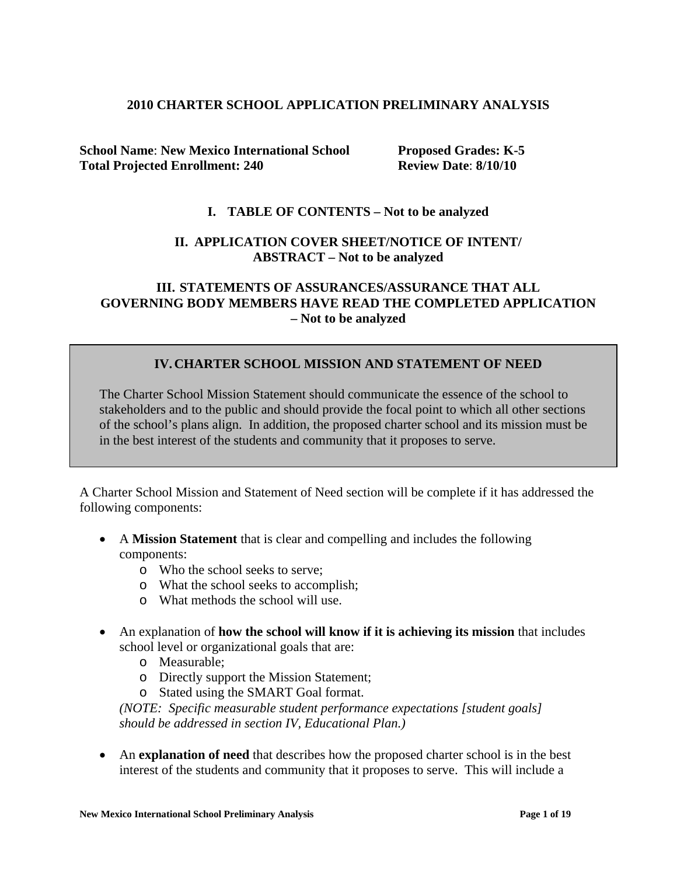### **2010 CHARTER SCHOOL APPLICATION PRELIMINARY ANALYSIS**

**School Name**: **New Mexico International School Proposed Grades: K-5 Total Projected Enrollment: 240 Review Date**: **8/10/10**

### **I. TABLE OF CONTENTS – Not to be analyzed**

### **II. APPLICATION COVER SHEET/NOTICE OF INTENT/ ABSTRACT – Not to be analyzed**

### **III. STATEMENTS OF ASSURANCES/ASSURANCE THAT ALL GOVERNING BODY MEMBERS HAVE READ THE COMPLETED APPLICATION – Not to be analyzed**

### **IV.CHARTER SCHOOL MISSION AND STATEMENT OF NEED**

The Charter School Mission Statement should communicate the essence of the school to stakeholders and to the public and should provide the focal point to which all other sections of the school's plans align. In addition, the proposed charter school and its mission must be in the best interest of the students and community that it proposes to serve.

A Charter School Mission and Statement of Need section will be complete if it has addressed the following components:

- A **Mission Statement** that is clear and compelling and includes the following components:
	- o Who the school seeks to serve;
	- o What the school seeks to accomplish;
	- o What methods the school will use.
- An explanation of **how the school will know if it is achieving its mission** that includes school level or organizational goals that are:
	- o Measurable;
	- o Directly support the Mission Statement;
	- o Stated using the SMART Goal format.

*(NOTE: Specific measurable student performance expectations [student goals] should be addressed in section IV, Educational Plan.)*

• An **explanation of need** that describes how the proposed charter school is in the best interest of the students and community that it proposes to serve. This will include a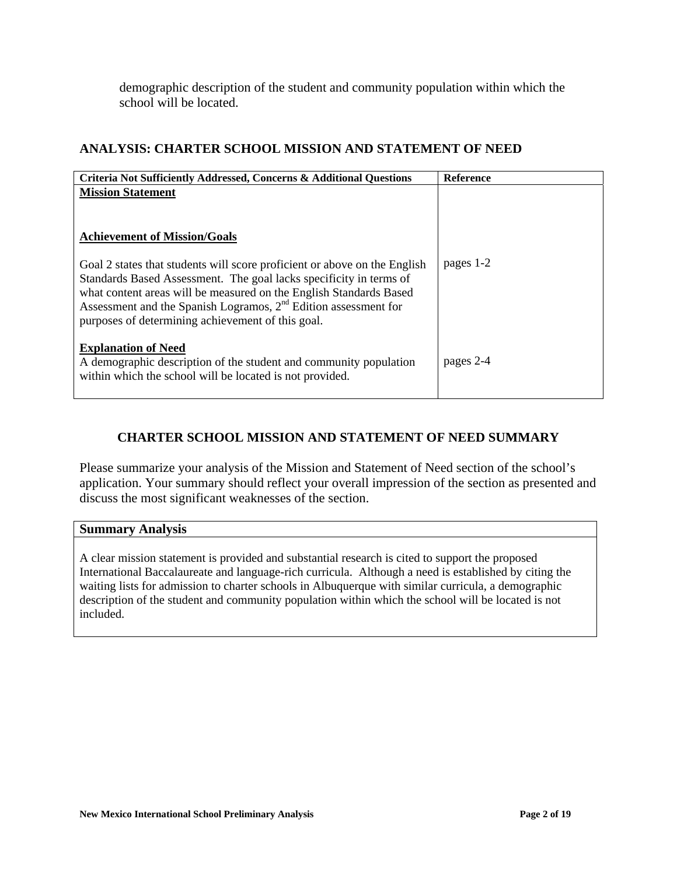demographic description of the student and community population within which the school will be located.

# **ANALYSIS: CHARTER SCHOOL MISSION AND STATEMENT OF NEED**

| Criteria Not Sufficiently Addressed, Concerns & Additional Questions                                                                                                                                                                                                                                                                            | <b>Reference</b> |
|-------------------------------------------------------------------------------------------------------------------------------------------------------------------------------------------------------------------------------------------------------------------------------------------------------------------------------------------------|------------------|
| <b>Mission Statement</b><br><b>Achievement of Mission/Goals</b>                                                                                                                                                                                                                                                                                 |                  |
| Goal 2 states that students will score proficient or above on the English<br>Standards Based Assessment. The goal lacks specificity in terms of<br>what content areas will be measured on the English Standards Based<br>Assessment and the Spanish Logramos, $2nd$ Edition assessment for<br>purposes of determining achievement of this goal. | pages 1-2        |
| <b>Explanation of Need</b><br>A demographic description of the student and community population<br>within which the school will be located is not provided.                                                                                                                                                                                     | pages 2-4        |

# **CHARTER SCHOOL MISSION AND STATEMENT OF NEED SUMMARY**

Please summarize your analysis of the Mission and Statement of Need section of the school's application. Your summary should reflect your overall impression of the section as presented and discuss the most significant weaknesses of the section.

### **Summary Analysis**

A clear mission statement is provided and substantial research is cited to support the proposed International Baccalaureate and language-rich curricula. Although a need is established by citing the waiting lists for admission to charter schools in Albuquerque with similar curricula, a demographic description of the student and community population within which the school will be located is not included.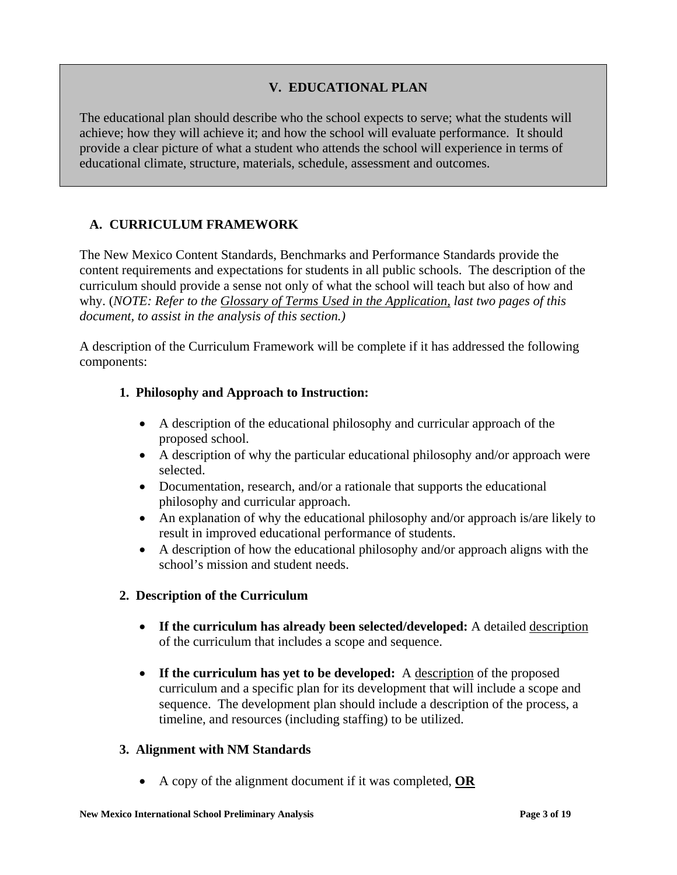# **V. EDUCATIONAL PLAN**

The educational plan should describe who the school expects to serve; what the students will achieve; how they will achieve it; and how the school will evaluate performance. It should provide a clear picture of what a student who attends the school will experience in terms of educational climate, structure, materials, schedule, assessment and outcomes.

# **A. CURRICULUM FRAMEWORK**

The New Mexico Content Standards, Benchmarks and Performance Standards provide the content requirements and expectations for students in all public schools. The description of the curriculum should provide a sense not only of what the school will teach but also of how and why. (*NOTE: Refer to the Glossary of Terms Used in the Application, last two pages of this document, to assist in the analysis of this section.)*

A description of the Curriculum Framework will be complete if it has addressed the following components:

### **1. Philosophy and Approach to Instruction:**

- A description of the educational philosophy and curricular approach of the proposed school.
- A description of why the particular educational philosophy and/or approach were selected.
- Documentation, research, and/or a rationale that supports the educational philosophy and curricular approach.
- An explanation of why the educational philosophy and/or approach is/are likely to result in improved educational performance of students.
- A description of how the educational philosophy and/or approach aligns with the school's mission and student needs.

### **2. Description of the Curriculum**

- **If the curriculum has already been selected/developed:** A detailed description of the curriculum that includes a scope and sequence.
- If the curriculum has yet to be developed: A description of the proposed curriculum and a specific plan for its development that will include a scope and sequence. The development plan should include a description of the process, a timeline, and resources (including staffing) to be utilized.

### **3. Alignment with NM Standards**

• A copy of the alignment document if it was completed, **OR**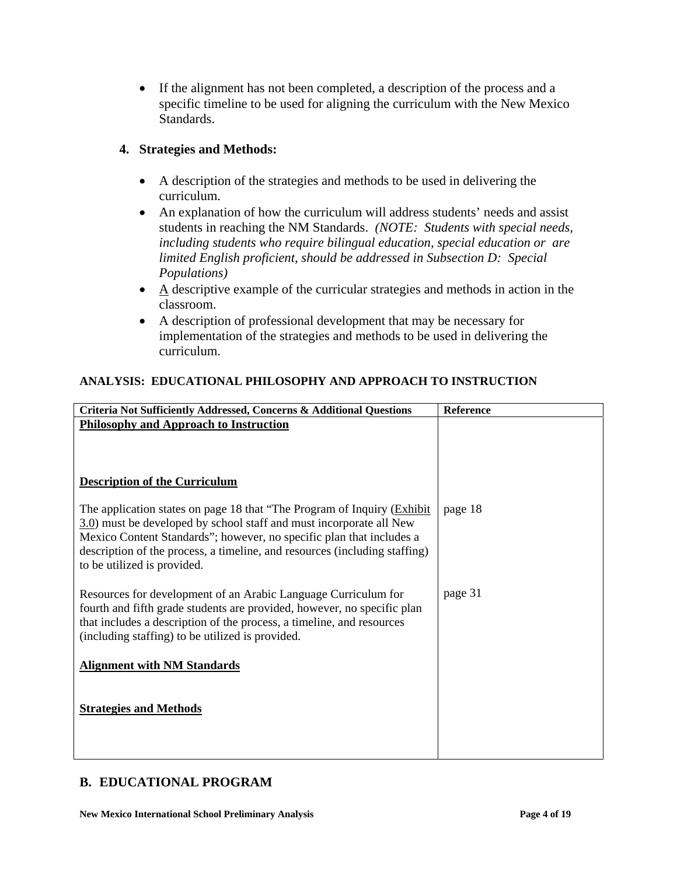• If the alignment has not been completed, a description of the process and a specific timeline to be used for aligning the curriculum with the New Mexico Standards.

# **4. Strategies and Methods:**

- A description of the strategies and methods to be used in delivering the curriculum.
- An explanation of how the curriculum will address students' needs and assist students in reaching the NM Standards. *(NOTE: Students with special needs, including students who require bilingual education, special education or are limited English proficient, should be addressed in Subsection D: Special Populations)*
- $\bullet$  A descriptive example of the curricular strategies and methods in action in the classroom.
- A description of professional development that may be necessary for implementation of the strategies and methods to be used in delivering the curriculum.

# **ANALYSIS: EDUCATIONAL PHILOSOPHY AND APPROACH TO INSTRUCTION**

| Criteria Not Sufficiently Addressed, Concerns & Additional Questions                                                                                                                                                                                                                                                                          | <b>Reference</b> |
|-----------------------------------------------------------------------------------------------------------------------------------------------------------------------------------------------------------------------------------------------------------------------------------------------------------------------------------------------|------------------|
| <b>Philosophy and Approach to Instruction</b>                                                                                                                                                                                                                                                                                                 |                  |
|                                                                                                                                                                                                                                                                                                                                               |                  |
|                                                                                                                                                                                                                                                                                                                                               |                  |
|                                                                                                                                                                                                                                                                                                                                               |                  |
| <b>Description of the Curriculum</b>                                                                                                                                                                                                                                                                                                          |                  |
| The application states on page 18 that "The Program of Inquiry ( <i>Exhibit</i> )<br>3.0) must be developed by school staff and must incorporate all New<br>Mexico Content Standards"; however, no specific plan that includes a<br>description of the process, a timeline, and resources (including staffing)<br>to be utilized is provided. | page 18          |
| Resources for development of an Arabic Language Curriculum for<br>fourth and fifth grade students are provided, however, no specific plan<br>that includes a description of the process, a timeline, and resources<br>(including staffing) to be utilized is provided.                                                                        | page 31          |
| <b>Alignment with NM Standards</b>                                                                                                                                                                                                                                                                                                            |                  |
| <b>Strategies and Methods</b>                                                                                                                                                                                                                                                                                                                 |                  |

# **B. EDUCATIONAL PROGRAM**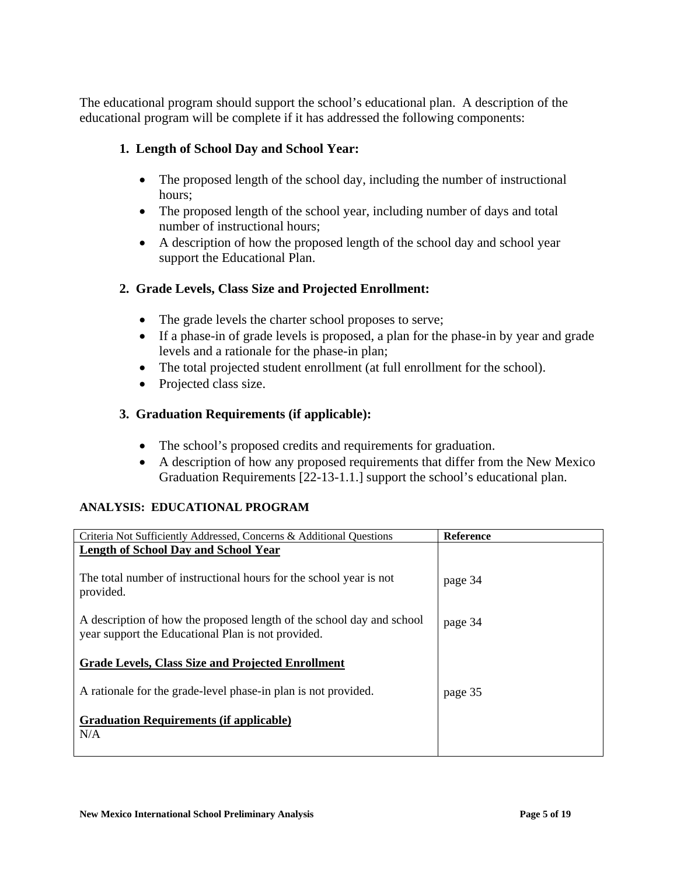The educational program should support the school's educational plan. A description of the educational program will be complete if it has addressed the following components:

# **1. Length of School Day and School Year:**

- The proposed length of the school day, including the number of instructional hours;
- The proposed length of the school year, including number of days and total number of instructional hours;
- A description of how the proposed length of the school day and school year support the Educational Plan.

# **2. Grade Levels, Class Size and Projected Enrollment:**

- The grade levels the charter school proposes to serve;
- If a phase-in of grade levels is proposed, a plan for the phase-in by year and grade levels and a rationale for the phase-in plan;
- The total projected student enrollment (at full enrollment for the school).
- Projected class size.

# **3. Graduation Requirements (if applicable):**

- The school's proposed credits and requirements for graduation.
- A description of how any proposed requirements that differ from the New Mexico Graduation Requirements [22-13-1.1.] support the school's educational plan.

# **ANALYSIS: EDUCATIONAL PROGRAM**

| Criteria Not Sufficiently Addressed, Concerns & Additional Questions                                                        | <b>Reference</b> |
|-----------------------------------------------------------------------------------------------------------------------------|------------------|
| Length of School Day and School Year                                                                                        |                  |
|                                                                                                                             |                  |
| The total number of instructional hours for the school year is not<br>provided.                                             | page 34          |
|                                                                                                                             |                  |
| A description of how the proposed length of the school day and school<br>year support the Educational Plan is not provided. | page 34          |
|                                                                                                                             |                  |
| <b>Grade Levels, Class Size and Projected Enrollment</b>                                                                    |                  |
|                                                                                                                             |                  |
| A rationale for the grade-level phase-in plan is not provided.                                                              | page 35          |
|                                                                                                                             |                  |
| <b>Graduation Requirements (if applicable)</b>                                                                              |                  |
| N/A                                                                                                                         |                  |
|                                                                                                                             |                  |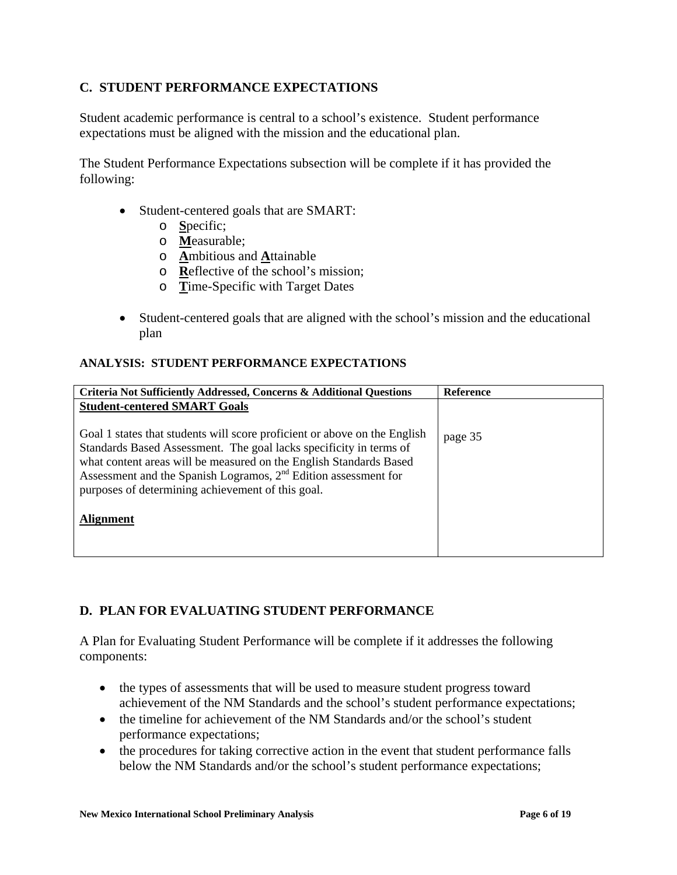# **C. STUDENT PERFORMANCE EXPECTATIONS**

Student academic performance is central to a school's existence. Student performance expectations must be aligned with the mission and the educational plan.

The Student Performance Expectations subsection will be complete if it has provided the following:

- Student-centered goals that are SMART:
	- o **S**pecific;
	- o **M**easurable;
	- o **A**mbitious and **A**ttainable
	- o **R**eflective of the school's mission;
	- o **T**ime-Specific with Target Dates
- Student-centered goals that are aligned with the school's mission and the educational plan

### **ANALYSIS: STUDENT PERFORMANCE EXPECTATIONS**

| <b>Criteria Not Sufficiently Addressed, Concerns &amp; Additional Questions</b>                                                                                                                                                                                                                                                                 | <b>Reference</b> |
|-------------------------------------------------------------------------------------------------------------------------------------------------------------------------------------------------------------------------------------------------------------------------------------------------------------------------------------------------|------------------|
| <b>Student-centered SMART Goals</b>                                                                                                                                                                                                                                                                                                             |                  |
| Goal 1 states that students will score proficient or above on the English<br>Standards Based Assessment. The goal lacks specificity in terms of<br>what content areas will be measured on the English Standards Based<br>Assessment and the Spanish Logramos, $2nd$ Edition assessment for<br>purposes of determining achievement of this goal. | page 35          |
| <b>Alignment</b>                                                                                                                                                                                                                                                                                                                                |                  |

# **D. PLAN FOR EVALUATING STUDENT PERFORMANCE**

A Plan for Evaluating Student Performance will be complete if it addresses the following components:

- the types of assessments that will be used to measure student progress toward achievement of the NM Standards and the school's student performance expectations;
- the timeline for achievement of the NM Standards and/or the school's student performance expectations;
- the procedures for taking corrective action in the event that student performance falls below the NM Standards and/or the school's student performance expectations;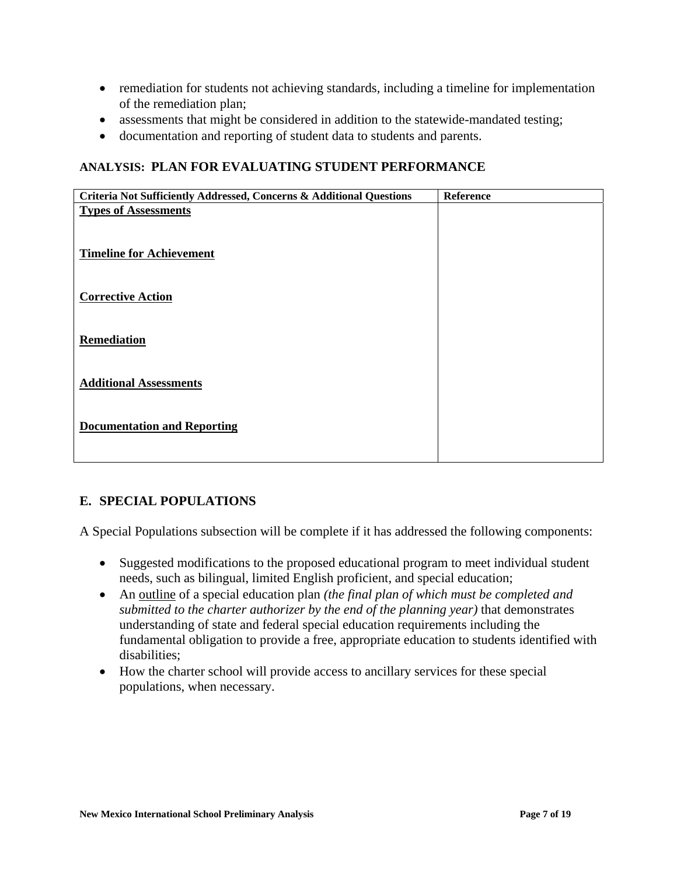- remediation for students not achieving standards, including a timeline for implementation of the remediation plan;
- assessments that might be considered in addition to the statewide-mandated testing;
- documentation and reporting of student data to students and parents.

## **ANALYSIS: PLAN FOR EVALUATING STUDENT PERFORMANCE**

| Criteria Not Sufficiently Addressed, Concerns & Additional Questions | Reference |
|----------------------------------------------------------------------|-----------|
| <b>Types of Assessments</b>                                          |           |
|                                                                      |           |
|                                                                      |           |
| <b>Timeline for Achievement</b>                                      |           |
|                                                                      |           |
|                                                                      |           |
| <b>Corrective Action</b>                                             |           |
|                                                                      |           |
|                                                                      |           |
| Remediation                                                          |           |
|                                                                      |           |
|                                                                      |           |
| <b>Additional Assessments</b>                                        |           |
|                                                                      |           |
|                                                                      |           |
| <b>Documentation and Reporting</b>                                   |           |
|                                                                      |           |
|                                                                      |           |

# **E. SPECIAL POPULATIONS**

A Special Populations subsection will be complete if it has addressed the following components:

- Suggested modifications to the proposed educational program to meet individual student needs, such as bilingual, limited English proficient, and special education;
- An outline of a special education plan *(the final plan of which must be completed and submitted to the charter authorizer by the end of the planning year)* that demonstrates understanding of state and federal special education requirements including the fundamental obligation to provide a free, appropriate education to students identified with disabilities;
- How the charter school will provide access to ancillary services for these special populations, when necessary.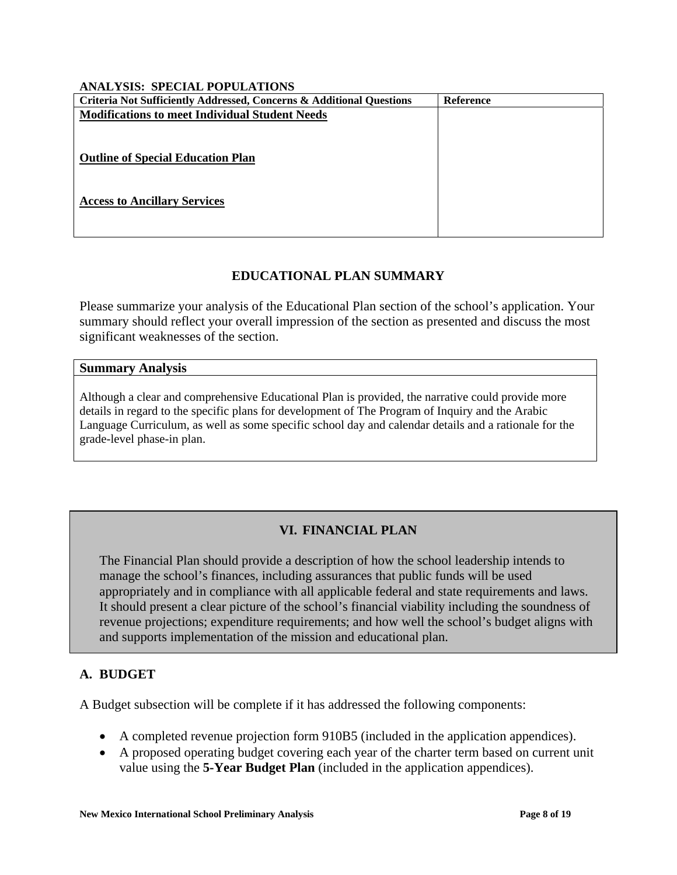#### **ANALYSIS: SPECIAL POPULATIONS**

| Criteria Not Sufficiently Addressed, Concerns & Additional Questions | Reference |
|----------------------------------------------------------------------|-----------|
| <b>Modifications to meet Individual Student Needs</b>                |           |
|                                                                      |           |
|                                                                      |           |
| <b>Outline of Special Education Plan</b>                             |           |
|                                                                      |           |
| <b>Access to Ancillary Services</b>                                  |           |
|                                                                      |           |
|                                                                      |           |

# **EDUCATIONAL PLAN SUMMARY**

Please summarize your analysis of the Educational Plan section of the school's application. Your summary should reflect your overall impression of the section as presented and discuss the most significant weaknesses of the section.

#### **Summary Analysis**

Although a clear and comprehensive Educational Plan is provided, the narrative could provide more details in regard to the specific plans for development of The Program of Inquiry and the Arabic Language Curriculum, as well as some specific school day and calendar details and a rationale for the grade-level phase-in plan.

# **VI. FINANCIAL PLAN**

The Financial Plan should provide a description of how the school leadership intends to manage the school's finances, including assurances that public funds will be used appropriately and in compliance with all applicable federal and state requirements and laws. It should present a clear picture of the school's financial viability including the soundness of revenue projections; expenditure requirements; and how well the school's budget aligns with and supports implementation of the mission and educational plan.

# **A. BUDGET**

A Budget subsection will be complete if it has addressed the following components:

- A completed revenue projection form 910B5 (included in the application appendices).
- A proposed operating budget covering each year of the charter term based on current unit value using the **5-Year Budget Plan** (included in the application appendices).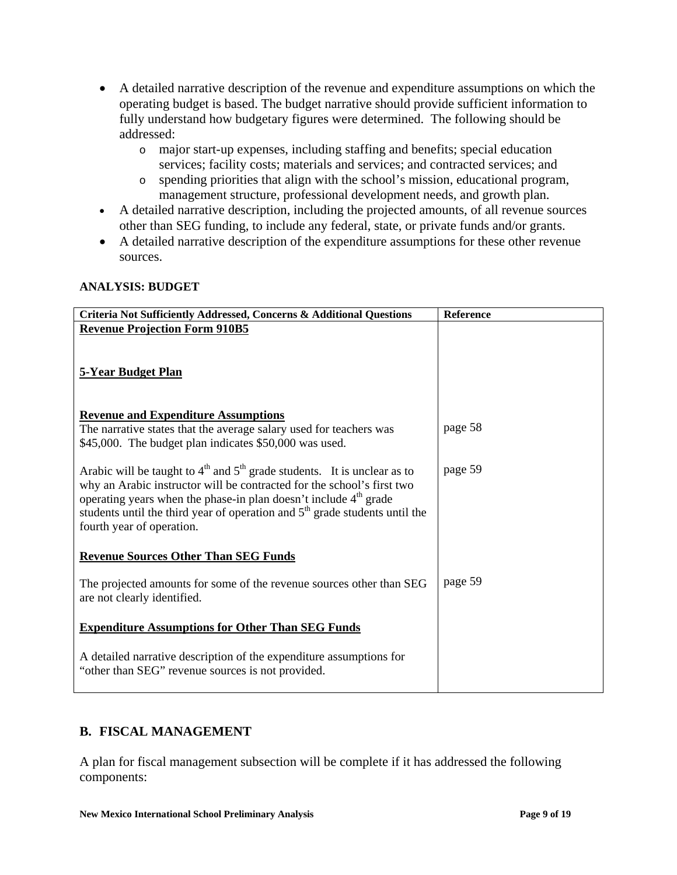- A detailed narrative description of the revenue and expenditure assumptions on which the operating budget is based. The budget narrative should provide sufficient information to fully understand how budgetary figures were determined. The following should be addressed:
	- o major start-up expenses, including staffing and benefits; special education services; facility costs; materials and services; and contracted services; and
	- o spending priorities that align with the school's mission, educational program, management structure, professional development needs, and growth plan.
- A detailed narrative description, including the projected amounts, of all revenue sources other than SEG funding, to include any federal, state, or private funds and/or grants.
- A detailed narrative description of the expenditure assumptions for these other revenue sources.

### **ANALYSIS: BUDGET**

| Criteria Not Sufficiently Addressed, Concerns & Additional Questions                                                                                                                                                                                                                                                                                           | Reference |
|----------------------------------------------------------------------------------------------------------------------------------------------------------------------------------------------------------------------------------------------------------------------------------------------------------------------------------------------------------------|-----------|
| <b>Revenue Projection Form 910B5</b>                                                                                                                                                                                                                                                                                                                           |           |
| <b>5-Year Budget Plan</b>                                                                                                                                                                                                                                                                                                                                      |           |
| <b>Revenue and Expenditure Assumptions</b>                                                                                                                                                                                                                                                                                                                     |           |
| The narrative states that the average salary used for teachers was<br>\$45,000. The budget plan indicates \$50,000 was used.                                                                                                                                                                                                                                   | page 58   |
| Arabic will be taught to $4th$ and $5th$ grade students. It is unclear as to<br>why an Arabic instructor will be contracted for the school's first two<br>operating years when the phase-in plan doesn't include 4 <sup>th</sup> grade<br>students until the third year of operation and 5 <sup>th</sup> grade students until the<br>fourth year of operation. | page 59   |
| <b>Revenue Sources Other Than SEG Funds</b>                                                                                                                                                                                                                                                                                                                    |           |
| The projected amounts for some of the revenue sources other than SEG<br>are not clearly identified.                                                                                                                                                                                                                                                            | page 59   |
| <b>Expenditure Assumptions for Other Than SEG Funds</b>                                                                                                                                                                                                                                                                                                        |           |
| A detailed narrative description of the expenditure assumptions for<br>"other than SEG" revenue sources is not provided.                                                                                                                                                                                                                                       |           |

# **B. FISCAL MANAGEMENT**

A plan for fiscal management subsection will be complete if it has addressed the following components: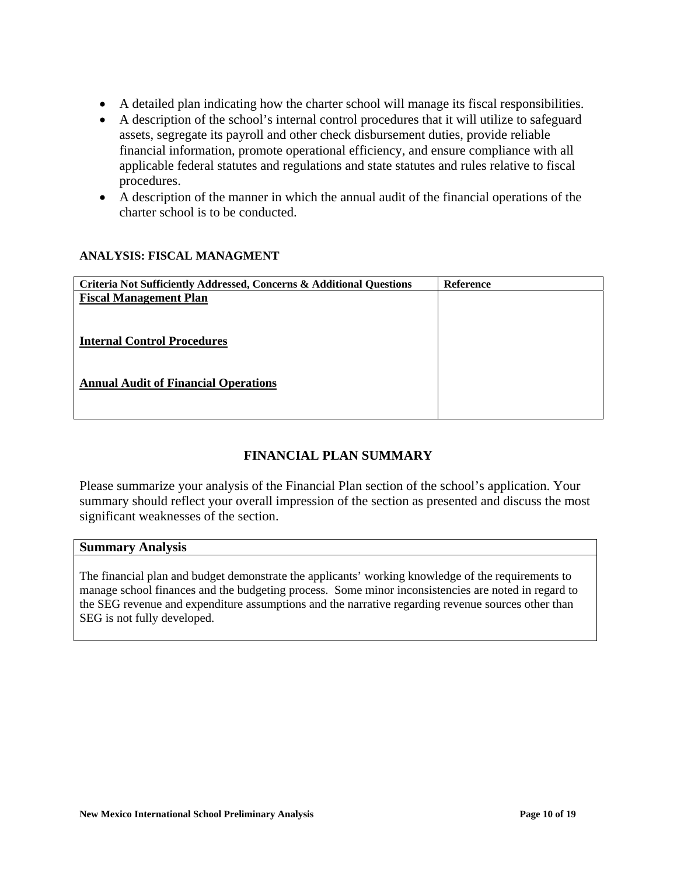- A detailed plan indicating how the charter school will manage its fiscal responsibilities.
- A description of the school's internal control procedures that it will utilize to safeguard assets, segregate its payroll and other check disbursement duties, provide reliable financial information, promote operational efficiency, and ensure compliance with all applicable federal statutes and regulations and state statutes and rules relative to fiscal procedures.
- A description of the manner in which the annual audit of the financial operations of the charter school is to be conducted.

#### **ANALYSIS: FISCAL MANAGMENT**

| Criteria Not Sufficiently Addressed, Concerns & Additional Questions | <b>Reference</b> |
|----------------------------------------------------------------------|------------------|
| <b>Fiscal Management Plan</b>                                        |                  |
|                                                                      |                  |
|                                                                      |                  |
| <b>Internal Control Procedures</b>                                   |                  |
|                                                                      |                  |
| <b>Annual Audit of Financial Operations</b>                          |                  |
|                                                                      |                  |
|                                                                      |                  |

# **FINANCIAL PLAN SUMMARY**

Please summarize your analysis of the Financial Plan section of the school's application. Your summary should reflect your overall impression of the section as presented and discuss the most significant weaknesses of the section.

#### **Summary Analysis**

The financial plan and budget demonstrate the applicants' working knowledge of the requirements to manage school finances and the budgeting process. Some minor inconsistencies are noted in regard to the SEG revenue and expenditure assumptions and the narrative regarding revenue sources other than SEG is not fully developed.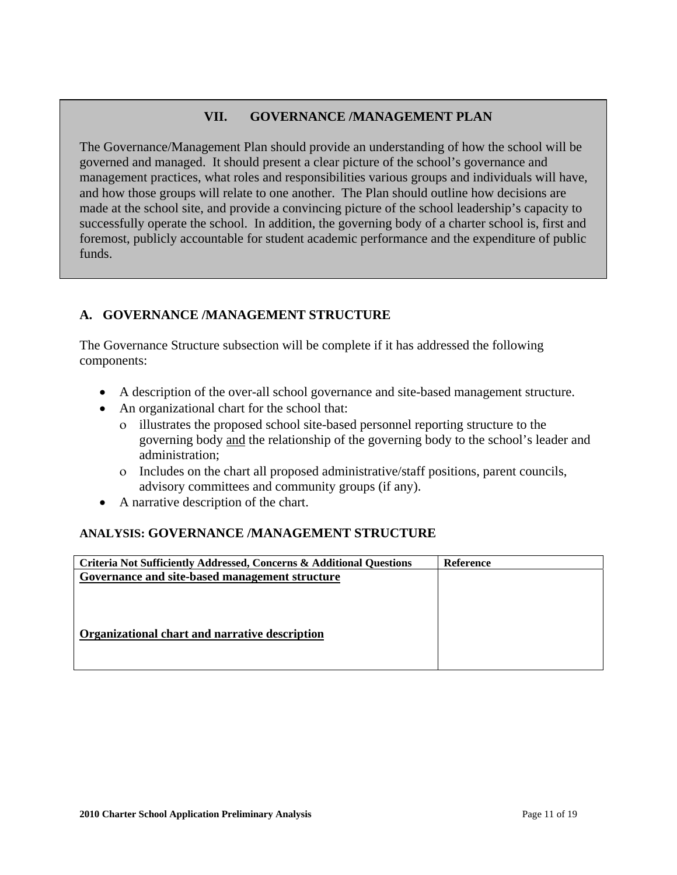# **VII. GOVERNANCE /MANAGEMENT PLAN**

The Governance/Management Plan should provide an understanding of how the school will be governed and managed. It should present a clear picture of the school's governance and management practices, what roles and responsibilities various groups and individuals will have, and how those groups will relate to one another. The Plan should outline how decisions are made at the school site, and provide a convincing picture of the school leadership's capacity to successfully operate the school. In addition, the governing body of a charter school is, first and foremost, publicly accountable for student academic performance and the expenditure of public funds.

# **A. GOVERNANCE /MANAGEMENT STRUCTURE**

The Governance Structure subsection will be complete if it has addressed the following components:

- A description of the over-all school governance and site-based management structure.
- An organizational chart for the school that:
	- ο illustrates the proposed school site-based personnel reporting structure to the governing body and the relationship of the governing body to the school's leader and administration;
	- ο Includes on the chart all proposed administrative/staff positions, parent councils, advisory committees and community groups (if any).
- A narrative description of the chart.

# **ANALYSIS: GOVERNANCE /MANAGEMENT STRUCTURE**

| <b>Reference</b> |
|------------------|
|                  |
|                  |
|                  |
|                  |
|                  |
|                  |
|                  |
|                  |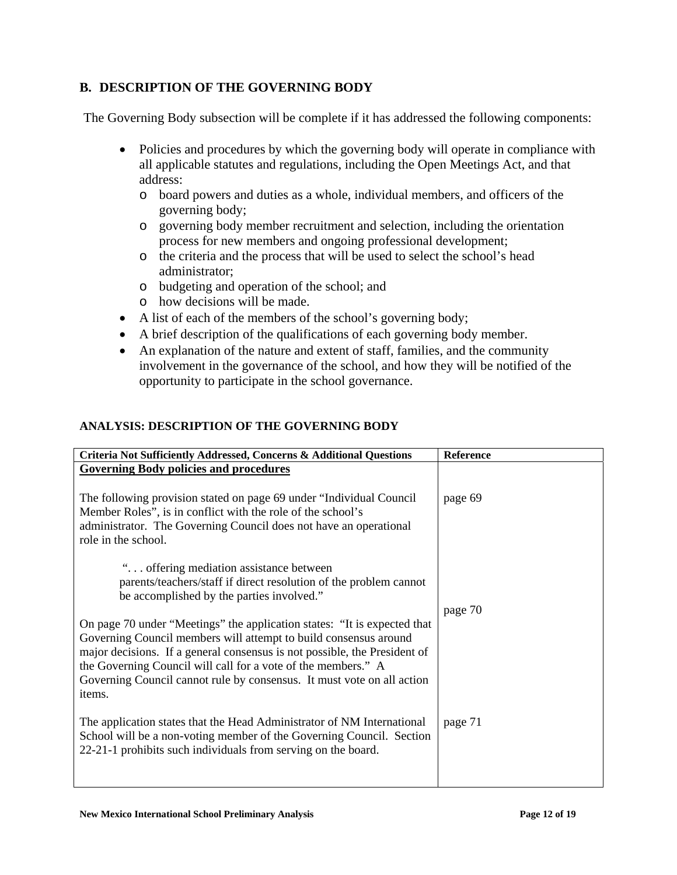# **B. DESCRIPTION OF THE GOVERNING BODY**

The Governing Body subsection will be complete if it has addressed the following components:

- Policies and procedures by which the governing body will operate in compliance with all applicable statutes and regulations, including the Open Meetings Act, and that address:
	- o board powers and duties as a whole, individual members, and officers of the governing body;
	- o governing body member recruitment and selection, including the orientation process for new members and ongoing professional development;
	- o the criteria and the process that will be used to select the school's head administrator;
	- o budgeting and operation of the school; and
	- o how decisions will be made.
- A list of each of the members of the school's governing body;
- A brief description of the qualifications of each governing body member.
- An explanation of the nature and extent of staff, families, and the community involvement in the governance of the school, and how they will be notified of the opportunity to participate in the school governance.

### **ANALYSIS: DESCRIPTION OF THE GOVERNING BODY**

| Criteria Not Sufficiently Addressed, Concerns & Additional Questions                                                                                                                                                                                                                                                                                                           | <b>Reference</b> |
|--------------------------------------------------------------------------------------------------------------------------------------------------------------------------------------------------------------------------------------------------------------------------------------------------------------------------------------------------------------------------------|------------------|
| <b>Governing Body policies and procedures</b>                                                                                                                                                                                                                                                                                                                                  |                  |
| The following provision stated on page 69 under "Individual Council"<br>Member Roles", is in conflict with the role of the school's<br>administrator. The Governing Council does not have an operational<br>role in the school.                                                                                                                                                | page 69          |
| " offering mediation assistance between<br>parents/teachers/staff if direct resolution of the problem cannot<br>be accomplished by the parties involved."                                                                                                                                                                                                                      | page 70          |
| On page 70 under "Meetings" the application states: "It is expected that<br>Governing Council members will attempt to build consensus around<br>major decisions. If a general consensus is not possible, the President of<br>the Governing Council will call for a vote of the members." A<br>Governing Council cannot rule by consensus. It must vote on all action<br>items. |                  |
| The application states that the Head Administrator of NM International<br>School will be a non-voting member of the Governing Council. Section<br>22-21-1 prohibits such individuals from serving on the board.                                                                                                                                                                | page 71          |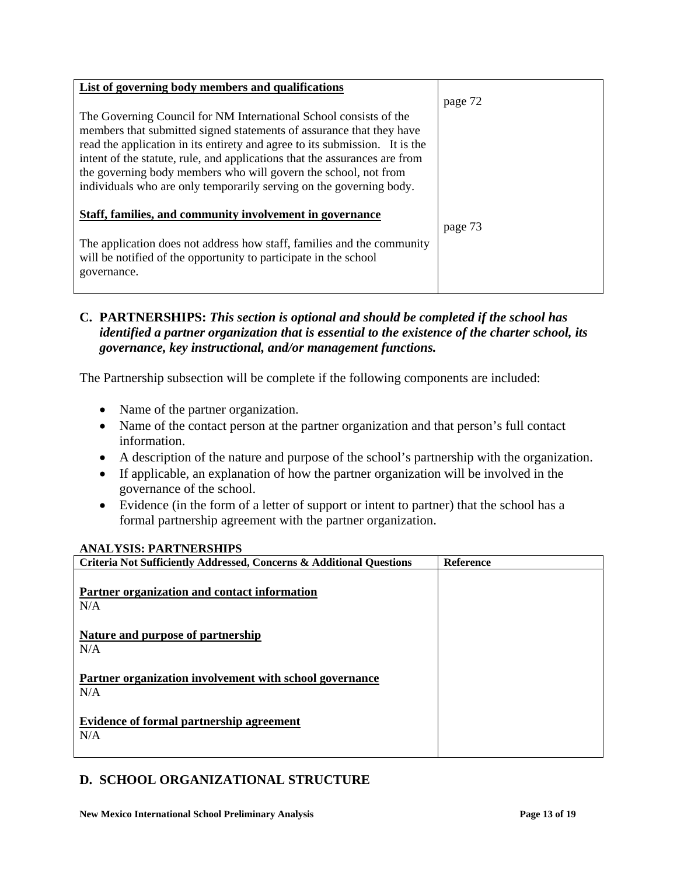| List of governing body members and qualifications                                                                                                                                                                                                                                                                                                                                                                                                |         |
|--------------------------------------------------------------------------------------------------------------------------------------------------------------------------------------------------------------------------------------------------------------------------------------------------------------------------------------------------------------------------------------------------------------------------------------------------|---------|
|                                                                                                                                                                                                                                                                                                                                                                                                                                                  | page 72 |
| The Governing Council for NM International School consists of the<br>members that submitted signed statements of assurance that they have<br>read the application in its entirety and agree to its submission. It is the<br>intent of the statute, rule, and applications that the assurances are from<br>the governing body members who will govern the school, not from<br>individuals who are only temporarily serving on the governing body. |         |
| Staff, families, and community involvement in governance                                                                                                                                                                                                                                                                                                                                                                                         | page 73 |
| The application does not address how staff, families and the community<br>will be notified of the opportunity to participate in the school<br>governance.                                                                                                                                                                                                                                                                                        |         |

# **C. PARTNERSHIPS:** *This section is optional and should be completed if the school has identified a partner organization that is essential to the existence of the charter school, its governance, key instructional, and/or management functions.*

The Partnership subsection will be complete if the following components are included:

- Name of the partner organization.
- Name of the contact person at the partner organization and that person's full contact information.
- A description of the nature and purpose of the school's partnership with the organization.
- If applicable, an explanation of how the partner organization will be involved in the governance of the school.
- Evidence (in the form of a letter of support or intent to partner) that the school has a formal partnership agreement with the partner organization.

### **ANALYSIS: PARTNERSHIPS**

| <b>Criteria Not Sufficiently Addressed, Concerns &amp; Additional Questions</b> | <b>Reference</b> |
|---------------------------------------------------------------------------------|------------------|
| Partner organization and contact information<br>N/A                             |                  |
| <b>Nature and purpose of partnership</b><br>N/A                                 |                  |
| Partner organization involvement with school governance<br>N/A                  |                  |
| Evidence of formal partnership agreement<br>N/A                                 |                  |

### **D. SCHOOL ORGANIZATIONAL STRUCTURE**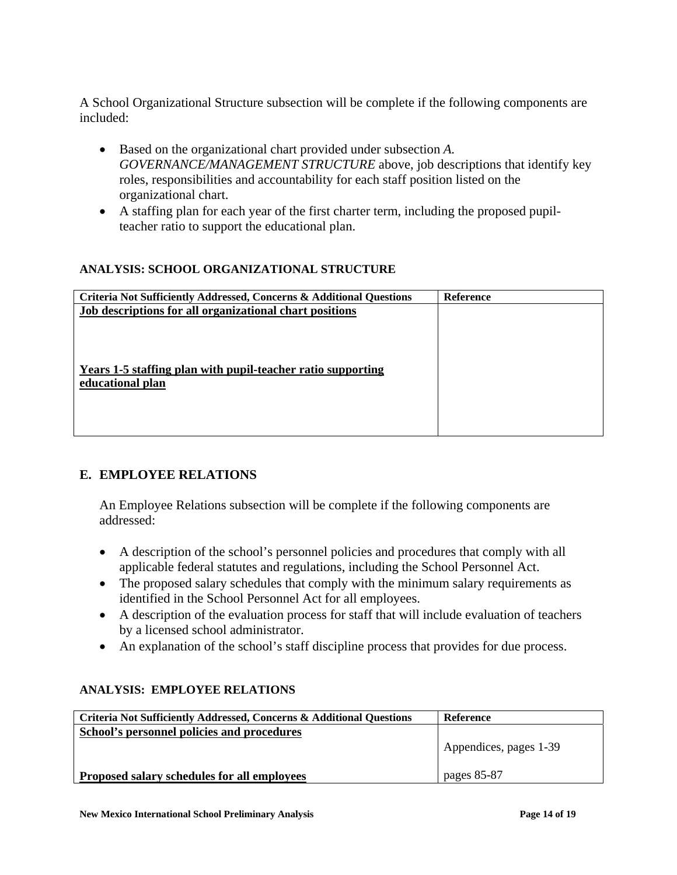A School Organizational Structure subsection will be complete if the following components are included:

- Based on the organizational chart provided under subsection *A. GOVERNANCE/MANAGEMENT STRUCTURE* above, job descriptions that identify key roles, responsibilities and accountability for each staff position listed on the organizational chart.
- A staffing plan for each year of the first charter term, including the proposed pupilteacher ratio to support the educational plan.

### **ANALYSIS: SCHOOL ORGANIZATIONAL STRUCTURE**

| Criteria Not Sufficiently Addressed, Concerns & Additional Questions | <b>Reference</b> |
|----------------------------------------------------------------------|------------------|
| Job descriptions for all organizational chart positions              |                  |
|                                                                      |                  |
|                                                                      |                  |
|                                                                      |                  |
| <b>Years 1-5 staffing plan with pupil-teacher ratio supporting</b>   |                  |
| educational plan                                                     |                  |
|                                                                      |                  |
|                                                                      |                  |
|                                                                      |                  |
|                                                                      |                  |

# **E. EMPLOYEE RELATIONS**

An Employee Relations subsection will be complete if the following components are addressed:

- A description of the school's personnel policies and procedures that comply with all applicable federal statutes and regulations, including the School Personnel Act.
- The proposed salary schedules that comply with the minimum salary requirements as identified in the School Personnel Act for all employees.
- A description of the evaluation process for staff that will include evaluation of teachers by a licensed school administrator.
- An explanation of the school's staff discipline process that provides for due process.

# **ANALYSIS: EMPLOYEE RELATIONS**

| Criteria Not Sufficiently Addressed, Concerns & Additional Questions | Reference              |
|----------------------------------------------------------------------|------------------------|
| School's personnel policies and procedures                           |                        |
|                                                                      | Appendices, pages 1-39 |
| <b>Proposed salary schedules for all employees</b>                   | pages 85-87            |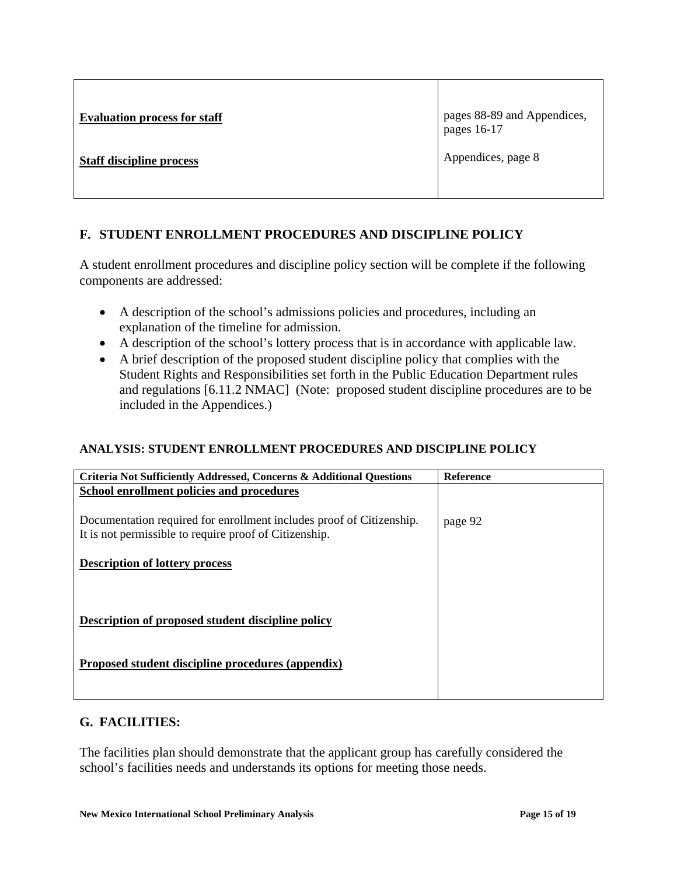| <b>Evaluation process for staff</b> | pages 88-89 and Appendices,<br>  pages 16-17 |
|-------------------------------------|----------------------------------------------|
| <b>Staff discipline process</b>     | Appendices, page 8                           |

# **F. STUDENT ENROLLMENT PROCEDURES AND DISCIPLINE POLICY**

A student enrollment procedures and discipline policy section will be complete if the following components are addressed:

- A description of the school's admissions policies and procedures, including an explanation of the timeline for admission.
- A description of the school's lottery process that is in accordance with applicable law.
- A brief description of the proposed student discipline policy that complies with the Student Rights and Responsibilities set forth in the Public Education Department rules and regulations [6.11.2 NMAC] (Note: proposed student discipline procedures are to be included in the Appendices.)

# **ANALYSIS: STUDENT ENROLLMENT PROCEDURES AND DISCIPLINE POLICY**

| <b>Criteria Not Sufficiently Addressed, Concerns &amp; Additional Questions</b> | <b>Reference</b> |
|---------------------------------------------------------------------------------|------------------|
| School enrollment policies and procedures                                       |                  |
|                                                                                 |                  |
| Documentation required for enrollment includes proof of Citizenship.            | page 92          |
| It is not permissible to require proof of Citizenship.                          |                  |
|                                                                                 |                  |
| <b>Description of lottery process</b>                                           |                  |
|                                                                                 |                  |
|                                                                                 |                  |
|                                                                                 |                  |
| Description of proposed student discipline policy                               |                  |
|                                                                                 |                  |
|                                                                                 |                  |
| Proposed student discipline procedures (appendix)                               |                  |
|                                                                                 |                  |
|                                                                                 |                  |

# **G. FACILITIES:**

The facilities plan should demonstrate that the applicant group has carefully considered the school's facilities needs and understands its options for meeting those needs.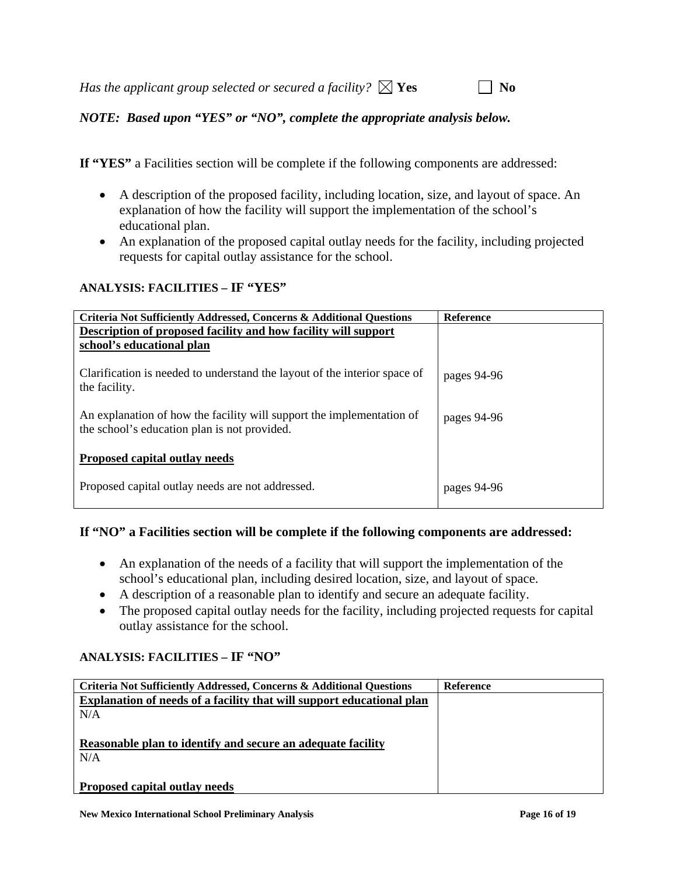*Has the applicant group selected or secured a facility?*  $\boxtimes$  **Yes**  $\Box$  **No** 

*NOTE: Based upon "YES" or "NO", complete the appropriate analysis below.* 

**If "YES"** a Facilities section will be complete if the following components are addressed:

- A description of the proposed facility, including location, size, and layout of space. An explanation of how the facility will support the implementation of the school's educational plan.
- An explanation of the proposed capital outlay needs for the facility, including projected requests for capital outlay assistance for the school.

# **ANALYSIS: FACILITIES – IF "YES"**

| <b>Criteria Not Sufficiently Addressed, Concerns &amp; Additional Questions</b> | <b>Reference</b> |
|---------------------------------------------------------------------------------|------------------|
| Description of proposed facility and how facility will support                  |                  |
| school's educational plan                                                       |                  |
|                                                                                 |                  |
| Clarification is needed to understand the layout of the interior space of       | pages 94-96      |
| the facility.                                                                   |                  |
|                                                                                 |                  |
| An explanation of how the facility will support the implementation of           | pages 94-96      |
| the school's education plan is not provided.                                    |                  |
|                                                                                 |                  |
| Proposed capital outlay needs                                                   |                  |
|                                                                                 |                  |
| Proposed capital outlay needs are not addressed.                                | pages 94-96      |
|                                                                                 |                  |
|                                                                                 |                  |

# **If "NO" a Facilities section will be complete if the following components are addressed:**

- An explanation of the needs of a facility that will support the implementation of the school's educational plan, including desired location, size, and layout of space.
- A description of a reasonable plan to identify and secure an adequate facility.
- The proposed capital outlay needs for the facility, including projected requests for capital outlay assistance for the school.

# **ANALYSIS: FACILITIES – IF "NO"**

| Criteria Not Sufficiently Addressed, Concerns & Additional Questions  | <b>Reference</b> |
|-----------------------------------------------------------------------|------------------|
| Explanation of needs of a facility that will support educational plan |                  |
| N/A                                                                   |                  |
|                                                                       |                  |
| Reasonable plan to identify and secure an adequate facility           |                  |
| N/A                                                                   |                  |
|                                                                       |                  |
| Proposed capital outlay needs                                         |                  |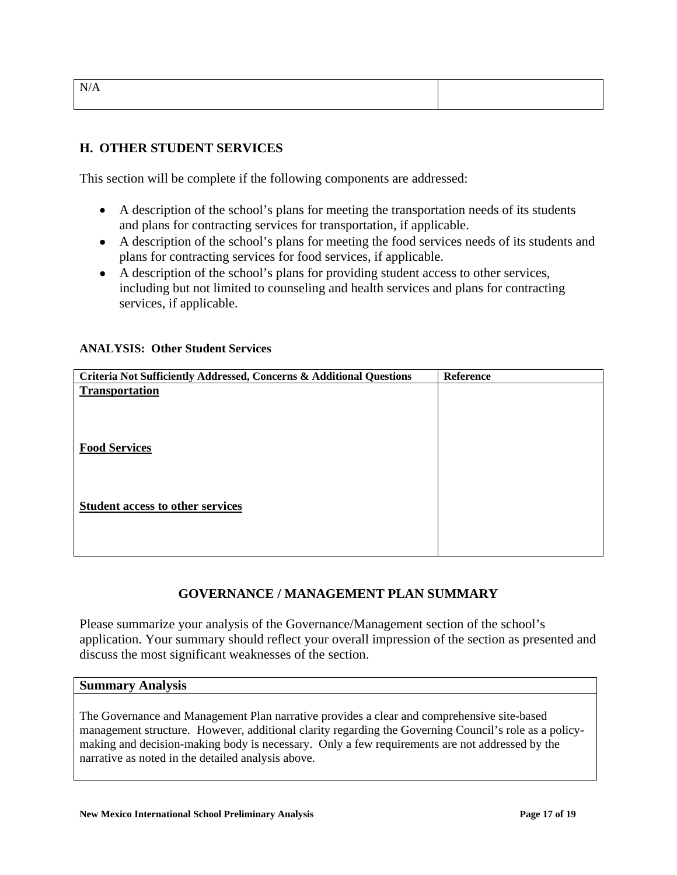| × |
|---|
|---|

### **H. OTHER STUDENT SERVICES**

This section will be complete if the following components are addressed:

- A description of the school's plans for meeting the transportation needs of its students and plans for contracting services for transportation, if applicable.
- A description of the school's plans for meeting the food services needs of its students and plans for contracting services for food services, if applicable.
- A description of the school's plans for providing student access to other services, including but not limited to counseling and health services and plans for contracting services, if applicable.

### **ANALYSIS: Other Student Services**

| Criteria Not Sufficiently Addressed, Concerns & Additional Questions | Reference |
|----------------------------------------------------------------------|-----------|
| <b>Transportation</b>                                                |           |
|                                                                      |           |
|                                                                      |           |
|                                                                      |           |
| <b>Food Services</b>                                                 |           |
|                                                                      |           |
|                                                                      |           |
| <b>Student access to other services</b>                              |           |
|                                                                      |           |
|                                                                      |           |
|                                                                      |           |

### **GOVERNANCE / MANAGEMENT PLAN SUMMARY**

Please summarize your analysis of the Governance/Management section of the school's application. Your summary should reflect your overall impression of the section as presented and discuss the most significant weaknesses of the section.

### **Summary Analysis**

The Governance and Management Plan narrative provides a clear and comprehensive site-based management structure. However, additional clarity regarding the Governing Council's role as a policymaking and decision-making body is necessary. Only a few requirements are not addressed by the narrative as noted in the detailed analysis above.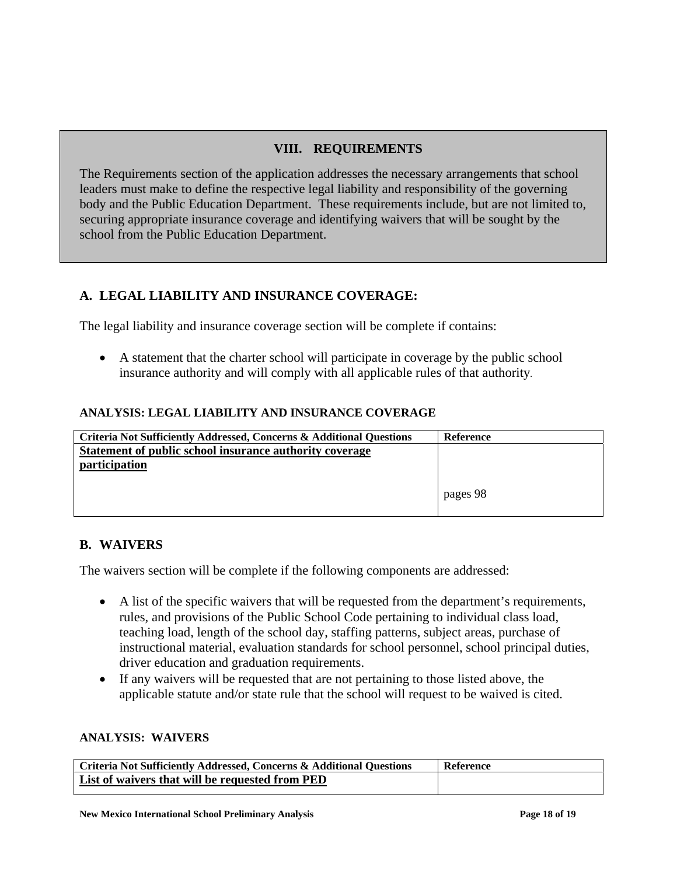# **VIII. REQUIREMENTS**

The Requirements section of the application addresses the necessary arrangements that school leaders must make to define the respective legal liability and responsibility of the governing body and the Public Education Department. These requirements include, but are not limited to, securing appropriate insurance coverage and identifying waivers that will be sought by the school from the Public Education Department.

# **A. LEGAL LIABILITY AND INSURANCE COVERAGE:**

The legal liability and insurance coverage section will be complete if contains:

• A statement that the charter school will participate in coverage by the public school insurance authority and will comply with all applicable rules of that authority.

### **ANALYSIS: LEGAL LIABILITY AND INSURANCE COVERAGE**

| Criteria Not Sufficiently Addressed, Concerns & Additional Questions | Reference |
|----------------------------------------------------------------------|-----------|
| Statement of public school insurance authority coverage              |           |
| participation                                                        |           |
|                                                                      |           |
|                                                                      | pages 98  |
|                                                                      |           |

# **B. WAIVERS**

The waivers section will be complete if the following components are addressed:

- A list of the specific waivers that will be requested from the department's requirements, rules, and provisions of the Public School Code pertaining to individual class load, teaching load, length of the school day, staffing patterns, subject areas, purchase of instructional material, evaluation standards for school personnel, school principal duties, driver education and graduation requirements.
- If any waivers will be requested that are not pertaining to those listed above, the applicable statute and/or state rule that the school will request to be waived is cited.

#### **ANALYSIS: WAIVERS**

| Criteria Not Sufficiently Addressed, Concerns & Additional Questions | Reference |
|----------------------------------------------------------------------|-----------|
| List of waivers that will be requested from PED                      |           |